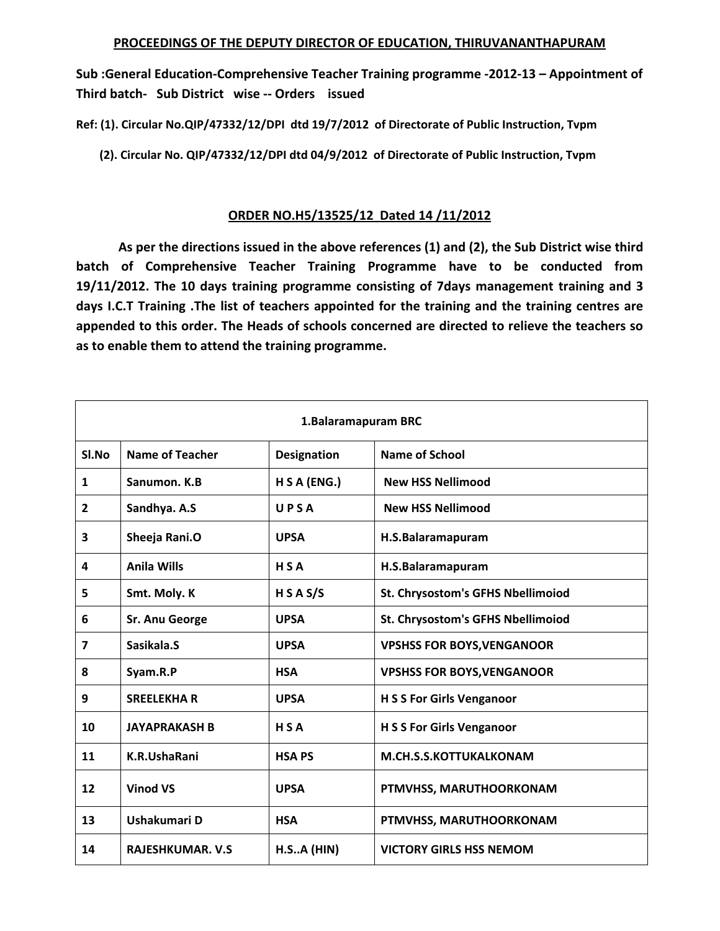**Sub :General Education‐Comprehensive Teacher Training programme ‐2012‐13 – Appointment of Third batch‐ Sub District wise ‐‐ Orders issued** 

**Ref: (1). Circular No.QIP/47332/12/DPI dtd 19/7/2012 of Directorate of Public Instruction, Tvpm** 

 **(2). Circular No. QIP/47332/12/DPI dtd 04/9/2012 of Directorate of Public Instruction, Tvpm** 

## **ORDER NO.H5/13525/12 Dated 14 /11/2012**

 **As per the directions issued in the above references (1) and (2), the Sub District wise third batch of Comprehensive Teacher Training Programme have to be conducted from 19/11/2012. The 10 days training programme consisting of 7days management training and 3 days I.C.T Training .The list of teachers appointed for the training and the training centres are appended to this order. The Heads of schools concerned are directed to relieve the teachers so as to enable them to attend the training programme.** 

| 1. Balaramapuram BRC |                         |                    |                                   |
|----------------------|-------------------------|--------------------|-----------------------------------|
| SI.No                | <b>Name of Teacher</b>  | <b>Designation</b> | <b>Name of School</b>             |
| 1                    | Sanumon, K.B.           | H S A (ENG.)       | <b>New HSS Nellimood</b>          |
| 2                    | Sandhya. A.S            | UPSA               | <b>New HSS Nellimood</b>          |
| 3                    | Sheeja Rani.O           | <b>UPSA</b>        | H.S.Balaramapuram                 |
| 4                    | <b>Anila Wills</b>      | HSA                | H.S.Balaramapuram                 |
| 5                    | Smt. Moly. K            | H S A S/S          | St. Chrysostom's GFHS Nbellimoiod |
| 6                    | <b>Sr. Anu George</b>   | <b>UPSA</b>        | St. Chrysostom's GFHS Nbellimoiod |
| 7                    | Sasikala.S              | <b>UPSA</b>        | <b>VPSHSS FOR BOYS, VENGANOOR</b> |
| 8                    | Syam.R.P                | <b>HSA</b>         | <b>VPSHSS FOR BOYS, VENGANOOR</b> |
| 9                    | <b>SREELEKHAR</b>       | <b>UPSA</b>        | <b>H S S For Girls Venganoor</b>  |
| 10                   | <b>JAYAPRAKASH B</b>    | <b>HSA</b>         | <b>H S S For Girls Venganoor</b>  |
| 11                   | K.R.UshaRani            | <b>HSAPS</b>       | M.CH.S.S.KOTTUKALKONAM            |
| 12                   | <b>Vinod VS</b>         | <b>UPSA</b>        | PTMVHSS, MARUTHOORKONAM           |
| 13                   | Ushakumari D            | <b>HSA</b>         | PTMVHSS, MARUTHOORKONAM           |
| 14                   | <b>RAJESHKUMAR. V.S</b> | H.S.A(HIN)         | <b>VICTORY GIRLS HSS NEMOM</b>    |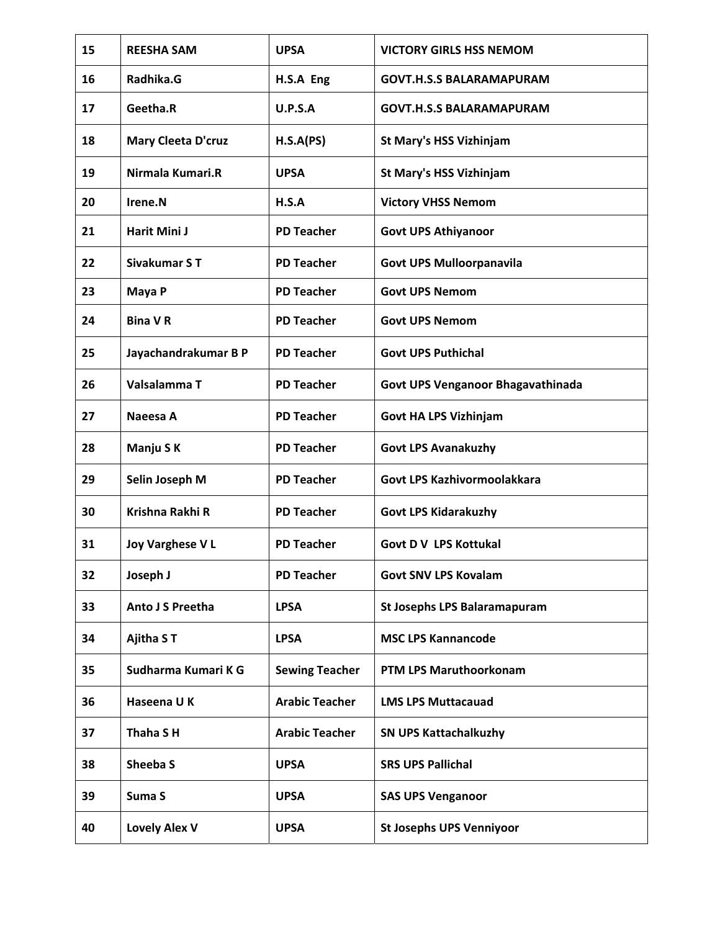| 15 | <b>REESHA SAM</b>         | <b>UPSA</b>           | <b>VICTORY GIRLS HSS NEMOM</b>      |
|----|---------------------------|-----------------------|-------------------------------------|
| 16 | Radhika.G                 | H.S.A Eng             | <b>GOVT.H.S.S BALARAMAPURAM</b>     |
| 17 | Geetha.R                  | U.P.S.A               | <b>GOVT.H.S.S BALARAMAPURAM</b>     |
| 18 | <b>Mary Cleeta D'cruz</b> | H.S.A(PS)             | St Mary's HSS Vizhinjam             |
| 19 | Nirmala Kumari.R          | <b>UPSA</b>           | <b>St Mary's HSS Vizhinjam</b>      |
| 20 | Irene.N                   | H.S.A                 | <b>Victory VHSS Nemom</b>           |
| 21 | Harit Mini J              | <b>PD Teacher</b>     | <b>Govt UPS Athiyanoor</b>          |
| 22 | Sivakumar ST              | <b>PD Teacher</b>     | <b>Govt UPS Mulloorpanavila</b>     |
| 23 | Maya P                    | <b>PD Teacher</b>     | <b>Govt UPS Nemom</b>               |
| 24 | <b>Bina VR</b>            | <b>PD Teacher</b>     | <b>Govt UPS Nemom</b>               |
| 25 | Jayachandrakumar B P      | <b>PD Teacher</b>     | <b>Govt UPS Puthichal</b>           |
| 26 | Valsalamma T              | <b>PD Teacher</b>     | Govt UPS Venganoor Bhagavathinada   |
| 27 | Naeesa A                  | <b>PD Teacher</b>     | <b>Govt HA LPS Vizhinjam</b>        |
| 28 | Manju SK                  | <b>PD Teacher</b>     | <b>Govt LPS Avanakuzhy</b>          |
| 29 | Selin Joseph M            | <b>PD Teacher</b>     | Govt LPS Kazhivormoolakkara         |
| 30 | Krishna Rakhi R           | <b>PD Teacher</b>     | <b>Govt LPS Kidarakuzhy</b>         |
| 31 | <b>Joy Varghese VL</b>    | <b>PD Teacher</b>     | <b>Govt D V LPS Kottukal</b>        |
| 32 | Joseph J                  | <b>PD Teacher</b>     | <b>Govt SNV LPS Kovalam</b>         |
| 33 | Anto J S Preetha          | <b>LPSA</b>           | <b>St Josephs LPS Balaramapuram</b> |
| 34 | Ajitha ST                 | <b>LPSA</b>           | <b>MSC LPS Kannancode</b>           |
| 35 | Sudharma Kumari K G       | <b>Sewing Teacher</b> | PTM LPS Maruthoorkonam              |
| 36 | Haseena UK                | <b>Arabic Teacher</b> | <b>LMS LPS Muttacauad</b>           |
| 37 | Thaha SH                  | <b>Arabic Teacher</b> | <b>SN UPS Kattachalkuzhy</b>        |
| 38 | Sheeba S                  | <b>UPSA</b>           | <b>SRS UPS Pallichal</b>            |
| 39 | Suma S                    | <b>UPSA</b>           | <b>SAS UPS Venganoor</b>            |
| 40 | <b>Lovely Alex V</b>      | <b>UPSA</b>           | <b>St Josephs UPS Venniyoor</b>     |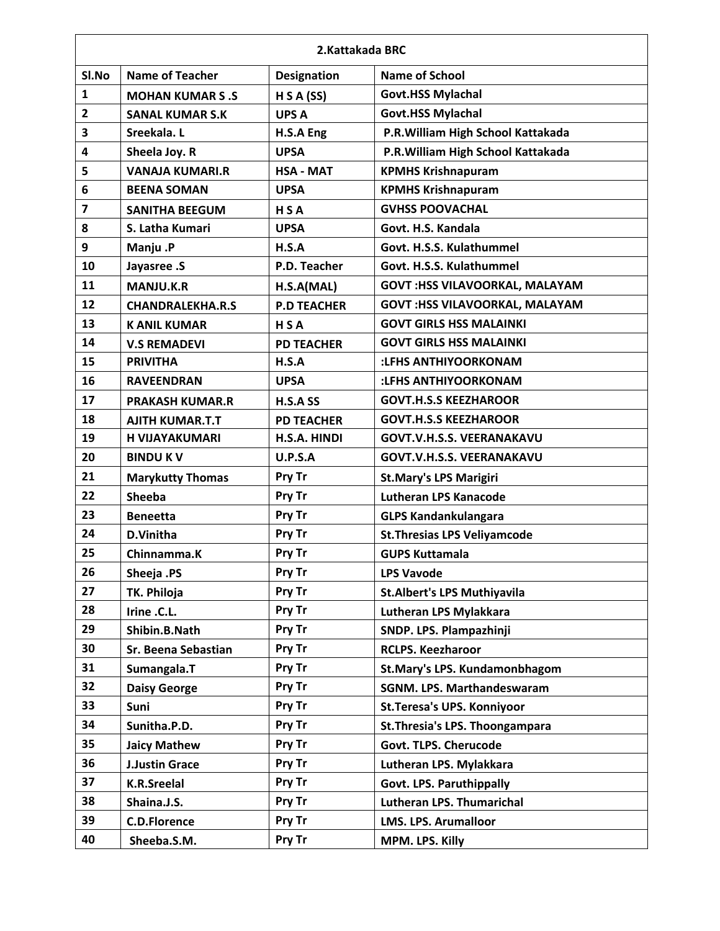|                | 2.Kattakada BRC         |                    |                                        |  |
|----------------|-------------------------|--------------------|----------------------------------------|--|
| SI.No          | <b>Name of Teacher</b>  | <b>Designation</b> | <b>Name of School</b>                  |  |
| $\mathbf{1}$   | <b>MOHAN KUMAR S.S</b>  | H S A (SS)         | <b>Govt.HSS Mylachal</b>               |  |
| $\overline{2}$ | <b>SANAL KUMAR S.K</b>  | <b>UPS A</b>       | <b>Govt.HSS Mylachal</b>               |  |
| 3              | Sreekala. L             | H.S.A Eng          | P.R. William High School Kattakada     |  |
| 4              | Sheela Joy. R           | <b>UPSA</b>        | P.R. William High School Kattakada     |  |
| 5              | <b>VANAJA KUMARI.R</b>  | <b>HSA - MAT</b>   | <b>KPMHS Krishnapuram</b>              |  |
| 6              | <b>BEENA SOMAN</b>      | <b>UPSA</b>        | <b>KPMHS Krishnapuram</b>              |  |
| 7              | <b>SANITHA BEEGUM</b>   | <b>HSA</b>         | <b>GVHSS POOVACHAL</b>                 |  |
| 8              | S. Latha Kumari         | <b>UPSA</b>        | Govt. H.S. Kandala                     |  |
| 9              | Manju.P                 | H.S.A              | Govt. H.S.S. Kulathummel               |  |
| 10             | Jayasree .S             | P.D. Teacher       | Govt. H.S.S. Kulathummel               |  |
| 11             | <b>MANJU.K.R</b>        | H.S.A(MAL)         | <b>GOVT : HSS VILAVOORKAL, MALAYAM</b> |  |
| 12             | <b>CHANDRALEKHA.R.S</b> | <b>P.D TEACHER</b> | <b>GOVT:HSS VILAVOORKAL, MALAYAM</b>   |  |
| 13             | <b>K ANIL KUMAR</b>     | <b>HSA</b>         | <b>GOVT GIRLS HSS MALAINKI</b>         |  |
| 14             | <b>V.S REMADEVI</b>     | <b>PD TEACHER</b>  | <b>GOVT GIRLS HSS MALAINKI</b>         |  |
| 15             | <b>PRIVITHA</b>         | H.S.A              | :LFHS ANTHIYOORKONAM                   |  |
| 16             | <b>RAVEENDRAN</b>       | <b>UPSA</b>        | :LFHS ANTHIYOORKONAM                   |  |
| 17             | <b>PRAKASH KUMAR.R</b>  | H.S.A SS           | <b>GOVT.H.S.S KEEZHAROOR</b>           |  |
| 18             | <b>AJITH KUMAR.T.T</b>  | <b>PD TEACHER</b>  | <b>GOVT.H.S.S KEEZHAROOR</b>           |  |
| 19             | <b>H VIJAYAKUMARI</b>   | H.S.A. HINDI       | <b>GOVT.V.H.S.S. VEERANAKAVU</b>       |  |
| 20             | <b>BINDU KV</b>         | <b>U.P.S.A</b>     | <b>GOVT.V.H.S.S. VEERANAKAVU</b>       |  |
| 21             | <b>Marykutty Thomas</b> | Pry Tr             | <b>St.Mary's LPS Marigiri</b>          |  |
| 22             | <b>Sheeba</b>           | Pry Tr             | <b>Lutheran LPS Kanacode</b>           |  |
| 23             | <b>Beneetta</b>         | Pry Tr             | <b>GLPS Kandankulangara</b>            |  |
| 24             | D.Vinitha               | Pry Tr             | <b>St. Thresias LPS Veliyamcode</b>    |  |
| 25             | Chinnamma.K             | Pry Tr             | <b>GUPS Kuttamala</b>                  |  |
| 26             | Sheeja .PS              | Pry Tr             | <b>LPS Vavode</b>                      |  |
| 27             | TK. Philoja             | Pry Tr             | <b>St.Albert's LPS Muthiyavila</b>     |  |
| 28             | Irine .C.L.             | Pry Tr             | Lutheran LPS Mylakkara                 |  |
| 29             | Shibin.B.Nath           | Pry Tr             | SNDP. LPS. Plampazhinji                |  |
| 30             | Sr. Beena Sebastian     | Pry Tr             | <b>RCLPS. Keezharoor</b>               |  |
| 31             | Sumangala.T             | Pry Tr             | St.Mary's LPS. Kundamonbhagom          |  |
| 32             | <b>Daisy George</b>     | Pry Tr             | <b>SGNM. LPS. Marthandeswaram</b>      |  |
| 33             | Suni                    | Pry Tr             | St. Teresa's UPS. Konniyoor            |  |
| 34             | Sunitha.P.D.            | Pry Tr             | St. Thresia's LPS. Thoongampara        |  |
| 35             | <b>Jaicy Mathew</b>     | Pry Tr             | Govt. TLPS. Cherucode                  |  |
| 36             | <b>J.Justin Grace</b>   | Pry Tr             | Lutheran LPS. Mylakkara                |  |
| 37             | <b>K.R.Sreelal</b>      | Pry Tr             | Govt. LPS. Paruthippally               |  |
| 38             | Shaina.J.S.             | Pry Tr             | Lutheran LPS. Thumarichal              |  |
| 39             | <b>C.D.Florence</b>     | Pry Tr             | <b>LMS. LPS. Arumalloor</b>            |  |
| 40             | Sheeba.S.M.             | Pry Tr             | MPM. LPS. Killy                        |  |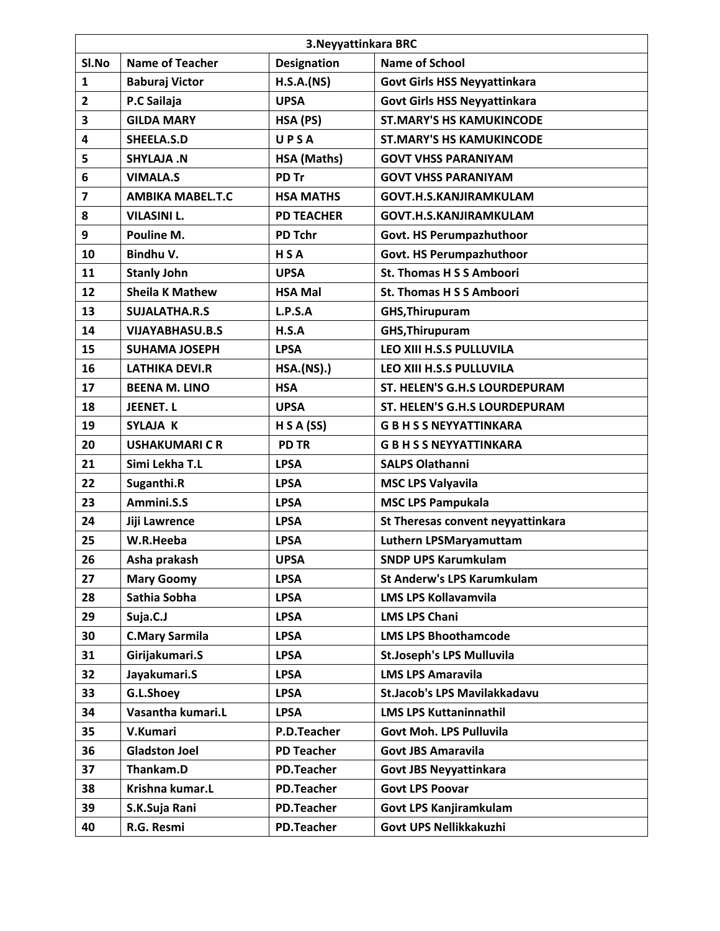|                | 3. Neyyattinkara BRC    |                    |                                     |  |
|----------------|-------------------------|--------------------|-------------------------------------|--|
| SI.No          | <b>Name of Teacher</b>  | <b>Designation</b> | <b>Name of School</b>               |  |
| $\mathbf{1}$   | <b>Baburaj Victor</b>   | H.S.A.(NS)         | <b>Govt Girls HSS Neyyattinkara</b> |  |
| $\overline{2}$ | P.C Sailaja             | <b>UPSA</b>        | <b>Govt Girls HSS Neyyattinkara</b> |  |
| 3              | <b>GILDA MARY</b>       | HSA (PS)           | <b>ST.MARY'S HS KAMUKINCODE</b>     |  |
| 4              | SHEELA.S.D              | UPSA               | <b>ST.MARY'S HS KAMUKINCODE</b>     |  |
| 5              | SHYLAJA.N               | HSA (Maths)        | <b>GOVT VHSS PARANIYAM</b>          |  |
| 6              | <b>VIMALA.S</b>         | PD Tr              | <b>GOVT VHSS PARANIYAM</b>          |  |
| 7              | <b>AMBIKA MABEL.T.C</b> | <b>HSA MATHS</b>   | <b>GOVT.H.S.KANJIRAMKULAM</b>       |  |
| 8              | <b>VILASINI L.</b>      | <b>PD TEACHER</b>  | <b>GOVT.H.S.KANJIRAMKULAM</b>       |  |
| 9              | Pouline M.              | PD Tchr            | Govt. HS Perumpazhuthoor            |  |
| 10             | Bindhu V.               | HSA                | Govt. HS Perumpazhuthoor            |  |
| 11             | <b>Stanly John</b>      | <b>UPSA</b>        | <b>St. Thomas H S S Amboori</b>     |  |
| 12             | <b>Sheila K Mathew</b>  | <b>HSA Mal</b>     | <b>St. Thomas H S S Amboori</b>     |  |
| 13             | <b>SUJALATHA.R.S</b>    | L.P.S.A            | <b>GHS, Thirupuram</b>              |  |
| 14             | <b>VIJAYABHASU.B.S</b>  | H.S.A              | <b>GHS, Thirupuram</b>              |  |
| 15             | <b>SUHAMA JOSEPH</b>    | <b>LPSA</b>        | LEO XIII H.S.S PULLUVILA            |  |
| 16             | <b>LATHIKA DEVI.R</b>   | <b>HSA.(NS).)</b>  | LEO XIII H.S.S PULLUVILA            |  |
| 17             | <b>BEENA M. LINO</b>    | <b>HSA</b>         | ST. HELEN'S G.H.S LOURDEPURAM       |  |
| 18             | <b>JEENET.L</b>         | <b>UPSA</b>        | ST. HELEN'S G.H.S LOURDEPURAM       |  |
| 19             | SYLAJA K                | H S A (SS)         | <b>G B H S S NEYYATTINKARA</b>      |  |
| 20             | <b>USHAKUMARICR</b>     | <b>PD TR</b>       | <b>GBHSSNEYYATTINKARA</b>           |  |
| 21             | Simi Lekha T.L          | <b>LPSA</b>        | <b>SALPS Olathanni</b>              |  |
| 22             | Suganthi.R              | <b>LPSA</b>        | <b>MSC LPS Valyavila</b>            |  |
| 23             | Ammini.S.S              | <b>LPSA</b>        | <b>MSC LPS Pampukala</b>            |  |
| 24             | Jiji Lawrence           | <b>LPSA</b>        | St Theresas convent neyyattinkara   |  |
| 25             | W.R.Heeba               | <b>LPSA</b>        | <b>Luthern LPSMaryamuttam</b>       |  |
| 26             | Asha prakash            | <b>UPSA</b>        | <b>SNDP UPS Karumkulam</b>          |  |
| 27             | <b>Mary Goomy</b>       | <b>LPSA</b>        | <b>St Anderw's LPS Karumkulam</b>   |  |
| 28             | Sathia Sobha            | <b>LPSA</b>        | <b>LMS LPS Kollavamvila</b>         |  |
| 29             | Suja.C.J                | <b>LPSA</b>        | <b>LMS LPS Chani</b>                |  |
| 30             | <b>C.Mary Sarmila</b>   | <b>LPSA</b>        | <b>LMS LPS Bhoothamcode</b>         |  |
| 31             | Girijakumari.S          | <b>LPSA</b>        | <b>St.Joseph's LPS Mulluvila</b>    |  |
| 32             | Jayakumari.S            | <b>LPSA</b>        | <b>LMS LPS Amaravila</b>            |  |
| 33             | G.L.Shoey               | <b>LPSA</b>        | <b>St.Jacob's LPS Mavilakkadavu</b> |  |
| 34             | Vasantha kumari.L       | <b>LPSA</b>        | <b>LMS LPS Kuttaninnathil</b>       |  |
| 35             | V.Kumari                | P.D.Teacher        | Govt Moh. LPS Pulluvila             |  |
| 36             | <b>Gladston Joel</b>    | <b>PD Teacher</b>  | <b>Govt JBS Amaravila</b>           |  |
| 37             | Thankam.D               | <b>PD.Teacher</b>  | <b>Govt JBS Neyyattinkara</b>       |  |
| 38             | Krishna kumar.L         | <b>PD.Teacher</b>  | <b>Govt LPS Poovar</b>              |  |
| 39             | S.K.Suja Rani           | <b>PD.Teacher</b>  | Govt LPS Kanjiramkulam              |  |
| 40             | R.G. Resmi              | <b>PD.Teacher</b>  | Govt UPS Nellikkakuzhi              |  |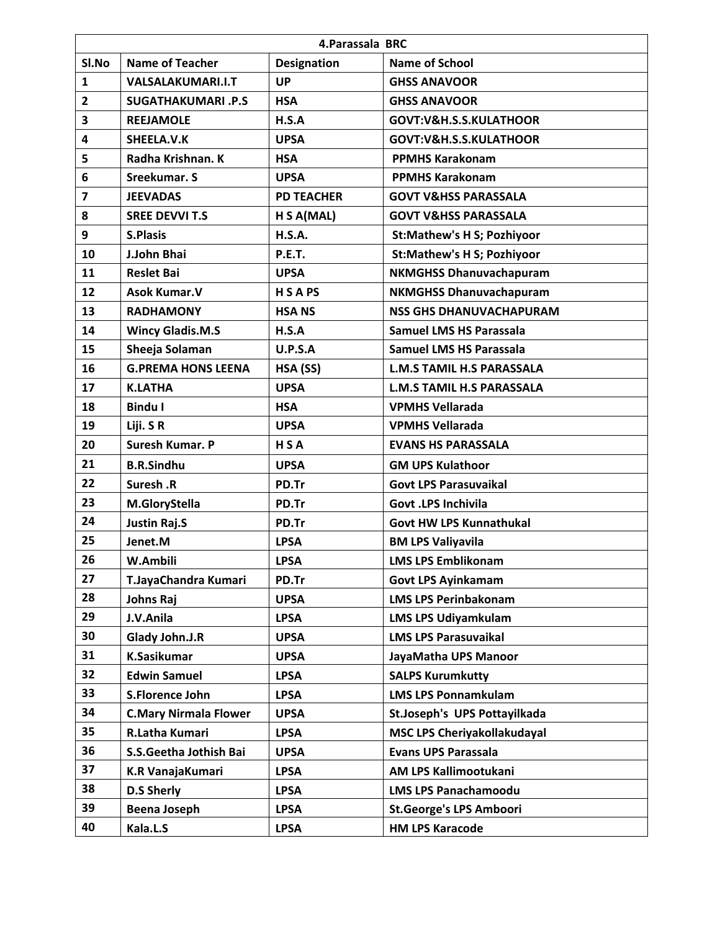|                | 4. Parassala BRC             |                    |                                    |  |
|----------------|------------------------------|--------------------|------------------------------------|--|
| SI.No          | <b>Name of Teacher</b>       | <b>Designation</b> | <b>Name of School</b>              |  |
| $\mathbf{1}$   | <b>VALSALAKUMARI.I.T</b>     | <b>UP</b>          | <b>GHSS ANAVOOR</b>                |  |
| $\overline{2}$ | <b>SUGATHAKUMARI .P.S</b>    | <b>HSA</b>         | <b>GHSS ANAVOOR</b>                |  |
| 3              | <b>REEJAMOLE</b>             | H.S.A              | GOVT:V&H.S.S.KULATHOOR             |  |
| 4              | SHEELA.V.K                   | <b>UPSA</b>        | GOVT:V&H.S.S.KULATHOOR             |  |
| 5              | Radha Krishnan. K            | <b>HSA</b>         | <b>PPMHS Karakonam</b>             |  |
| 6              | Sreekumar. S                 | <b>UPSA</b>        | <b>PPMHS Karakonam</b>             |  |
| 7              | <b>JEEVADAS</b>              | <b>PD TEACHER</b>  | <b>GOVT V&amp;HSS PARASSALA</b>    |  |
| 8              | <b>SREE DEVVI T.S</b>        | H S A(MAL)         | <b>GOVT V&amp;HSS PARASSALA</b>    |  |
| 9              | <b>S.Plasis</b>              | <b>H.S.A.</b>      | <b>St:Mathew's H S; Pozhiyoor</b>  |  |
| 10             | J.John Bhai                  | <b>P.E.T.</b>      | <b>St:Mathew's H S; Pozhiyoor</b>  |  |
| 11             | <b>Reslet Bai</b>            | <b>UPSA</b>        | <b>NKMGHSS Dhanuvachapuram</b>     |  |
| 12             | <b>Asok Kumar.V</b>          | <b>HSAPS</b>       | <b>NKMGHSS Dhanuvachapuram</b>     |  |
| 13             | <b>RADHAMONY</b>             | <b>HSANS</b>       | <b>NSS GHS DHANUVACHAPURAM</b>     |  |
| 14             | <b>Wincy Gladis.M.S</b>      | H.S.A              | Samuel LMS HS Parassala            |  |
| 15             | Sheeja Solaman               | <b>U.P.S.A</b>     | <b>Samuel LMS HS Parassala</b>     |  |
| 16             | <b>G.PREMA HONS LEENA</b>    | HSA (SS)           | <b>L.M.S TAMIL H.S PARASSALA</b>   |  |
| 17             | <b>K.LATHA</b>               | <b>UPSA</b>        | <b>L.M.S TAMIL H.S PARASSALA</b>   |  |
| 18             | <b>Bindu I</b>               | <b>HSA</b>         | <b>VPMHS Vellarada</b>             |  |
| 19             | Liji. SR                     | <b>UPSA</b>        | <b>VPMHS Vellarada</b>             |  |
| 20             | Suresh Kumar. P              | H S A              | <b>EVANS HS PARASSALA</b>          |  |
| 21             | <b>B.R.Sindhu</b>            | <b>UPSA</b>        | <b>GM UPS Kulathoor</b>            |  |
| 22             | Suresh .R                    | PD.Tr              | <b>Govt LPS Parasuvaikal</b>       |  |
| 23             | M.GloryStella                | PD.Tr              | <b>Govt .LPS Inchivila</b>         |  |
| 24             | <b>Justin Raj.S</b>          | PD.Tr              | <b>Govt HW LPS Kunnathukal</b>     |  |
| 25             | Jenet.M                      | <b>LPSA</b>        | <b>BM LPS Valiyavila</b>           |  |
| 26             | W.Ambili                     | <b>LPSA</b>        | <b>LMS LPS Emblikonam</b>          |  |
| 27             | T.JayaChandra Kumari         | PD.Tr              | <b>Govt LPS Ayinkamam</b>          |  |
| 28             | Johns Raj                    | <b>UPSA</b>        | <b>LMS LPS Perinbakonam</b>        |  |
| 29             | J.V.Anila                    | <b>LPSA</b>        | <b>LMS LPS Udiyamkulam</b>         |  |
| 30             | Glady John.J.R               | <b>UPSA</b>        | <b>LMS LPS Parasuvaikal</b>        |  |
| 31             | <b>K.Sasikumar</b>           | <b>UPSA</b>        | JayaMatha UPS Manoor               |  |
| 32             | <b>Edwin Samuel</b>          | <b>LPSA</b>        | <b>SALPS Kurumkutty</b>            |  |
| 33             | S.Florence John              | <b>LPSA</b>        | <b>LMS LPS Ponnamkulam</b>         |  |
| 34             | <b>C.Mary Nirmala Flower</b> | <b>UPSA</b>        | St.Joseph's UPS Pottayilkada       |  |
| 35             | R.Latha Kumari               | <b>LPSA</b>        | <b>MSC LPS Cheriyakollakudayal</b> |  |
| 36             | S.S.Geetha Jothish Bai       | <b>UPSA</b>        | <b>Evans UPS Parassala</b>         |  |
| 37             | <b>K.R VanajaKumari</b>      | <b>LPSA</b>        | AM LPS Kallimootukani              |  |
| 38             | <b>D.S Sherly</b>            | <b>LPSA</b>        | <b>LMS LPS Panachamoodu</b>        |  |
| 39             | <b>Beena Joseph</b>          | <b>LPSA</b>        | <b>St.George's LPS Amboori</b>     |  |
| 40             | Kala.L.S                     | <b>LPSA</b>        | <b>HM LPS Karacode</b>             |  |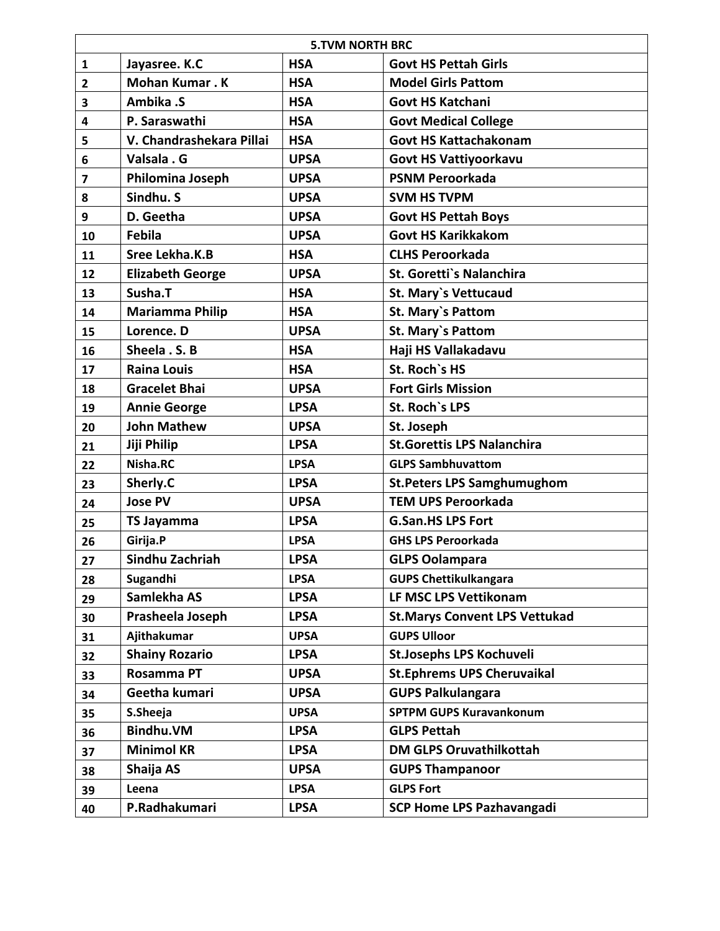|                         | <b>5.TVM NORTH BRC</b>   |             |                                      |  |
|-------------------------|--------------------------|-------------|--------------------------------------|--|
| 1                       | Jayasree. K.C            | <b>HSA</b>  | <b>Govt HS Pettah Girls</b>          |  |
| $\mathbf{2}$            | <b>Mohan Kumar.K</b>     | <b>HSA</b>  | <b>Model Girls Pattom</b>            |  |
| 3                       | Ambika .S                | <b>HSA</b>  | <b>Govt HS Katchani</b>              |  |
| 4                       | P. Saraswathi            | <b>HSA</b>  | <b>Govt Medical College</b>          |  |
| 5                       | V. Chandrashekara Pillai | <b>HSA</b>  | <b>Govt HS Kattachakonam</b>         |  |
| 6                       | Valsala . G              | <b>UPSA</b> | <b>Govt HS Vattiyoorkavu</b>         |  |
| $\overline{\mathbf{z}}$ | Philomina Joseph         | <b>UPSA</b> | <b>PSNM Peroorkada</b>               |  |
| 8                       | Sindhu. S                | <b>UPSA</b> | <b>SVM HS TVPM</b>                   |  |
| 9                       | D. Geetha                | <b>UPSA</b> | <b>Govt HS Pettah Boys</b>           |  |
| 10                      | <b>Febila</b>            | <b>UPSA</b> | <b>Govt HS Karikkakom</b>            |  |
| 11                      | Sree Lekha.K.B           | <b>HSA</b>  | <b>CLHS Peroorkada</b>               |  |
| 12                      | <b>Elizabeth George</b>  | <b>UPSA</b> | St. Goretti's Nalanchira             |  |
| 13                      | Susha.T                  | <b>HSA</b>  | <b>St. Mary's Vettucaud</b>          |  |
| 14                      | <b>Mariamma Philip</b>   | <b>HSA</b>  | <b>St. Mary's Pattom</b>             |  |
| 15                      | Lorence. D               | <b>UPSA</b> | St. Mary's Pattom                    |  |
| 16                      | Sheela . S. B            | <b>HSA</b>  | Haji HS Vallakadavu                  |  |
| 17                      | <b>Raina Louis</b>       | <b>HSA</b>  | St. Roch's HS                        |  |
| 18                      | <b>Gracelet Bhai</b>     | <b>UPSA</b> | <b>Fort Girls Mission</b>            |  |
| 19                      | <b>Annie George</b>      | <b>LPSA</b> | St. Roch's LPS                       |  |
| 20                      | <b>John Mathew</b>       | <b>UPSA</b> | St. Joseph                           |  |
| 21                      | Jiji Philip              | <b>LPSA</b> | <b>St.Gorettis LPS Nalanchira</b>    |  |
| 22                      | Nisha.RC                 | <b>LPSA</b> | <b>GLPS Sambhuvattom</b>             |  |
| 23                      | Sherly.C                 | <b>LPSA</b> | <b>St. Peters LPS Samghumughom</b>   |  |
| 24                      | <b>Jose PV</b>           | <b>UPSA</b> | <b>TEM UPS Peroorkada</b>            |  |
| 25                      | <b>TS Jayamma</b>        | <b>LPSA</b> | <b>G.San.HS LPS Fort</b>             |  |
| 26                      | Girija.P                 | <b>LPSA</b> | <b>GHS LPS Peroorkada</b>            |  |
| 27                      | Sindhu Zachriah          | <b>LPSA</b> | <b>GLPS Oolampara</b>                |  |
| 28                      | Sugandhi                 | <b>LPSA</b> | <b>GUPS Chettikulkangara</b>         |  |
| 29                      | Samlekha AS              | <b>LPSA</b> | LF MSC LPS Vettikonam                |  |
| 30                      | Prasheela Joseph         | <b>LPSA</b> | <b>St.Marys Convent LPS Vettukad</b> |  |
| 31                      | Ajithakumar              | <b>UPSA</b> | <b>GUPS Ulloor</b>                   |  |
| 32                      | <b>Shainy Rozario</b>    | <b>LPSA</b> | <b>St.Josephs LPS Kochuveli</b>      |  |
| 33                      | <b>Rosamma PT</b>        | <b>UPSA</b> | <b>St.Ephrems UPS Cheruvaikal</b>    |  |
| 34                      | Geetha kumari            | <b>UPSA</b> | <b>GUPS Palkulangara</b>             |  |
| 35                      | S.Sheeja                 | <b>UPSA</b> | <b>SPTPM GUPS Kuravankonum</b>       |  |
| 36                      | <b>Bindhu.VM</b>         | <b>LPSA</b> | <b>GLPS Pettah</b>                   |  |
| 37                      | <b>Minimol KR</b>        | <b>LPSA</b> | <b>DM GLPS Oruvathilkottah</b>       |  |
| 38                      | Shaija AS                | <b>UPSA</b> | <b>GUPS Thampanoor</b>               |  |
| 39                      | Leena                    | <b>LPSA</b> | <b>GLPS Fort</b>                     |  |
| 40                      | P.Radhakumari            | <b>LPSA</b> | <b>SCP Home LPS Pazhavangadi</b>     |  |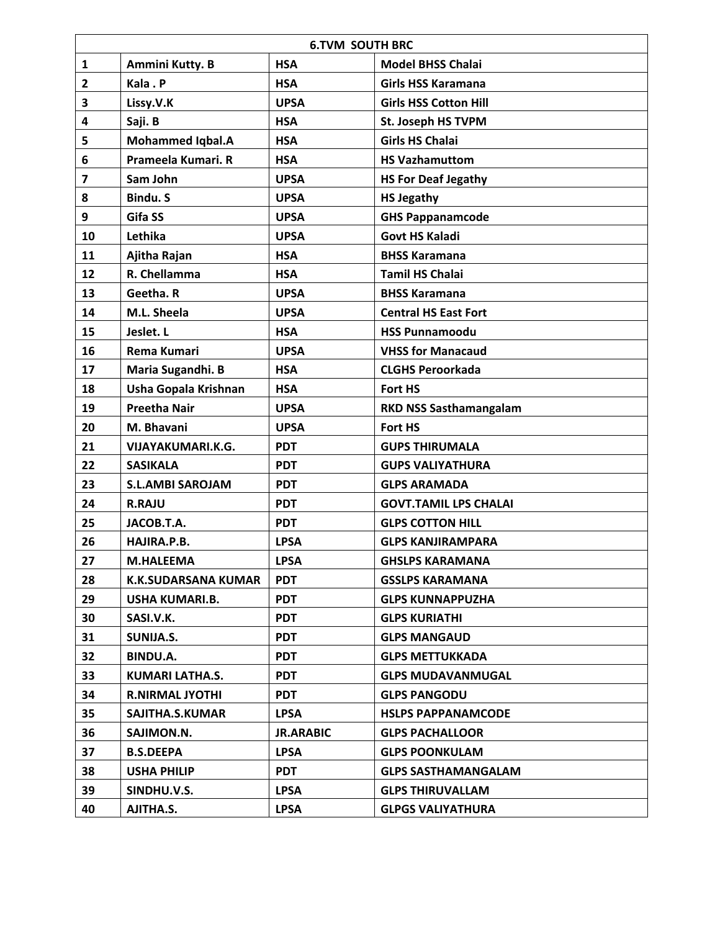|              | <b>6.TVM SOUTH BRC</b>     |                  |                               |  |
|--------------|----------------------------|------------------|-------------------------------|--|
| 1            | Ammini Kutty. B            | <b>HSA</b>       | <b>Model BHSS Chalai</b>      |  |
| $\mathbf{2}$ | Kala . P                   | <b>HSA</b>       | <b>Girls HSS Karamana</b>     |  |
| 3            | Lissy.V.K                  | <b>UPSA</b>      | <b>Girls HSS Cotton Hill</b>  |  |
| 4            | Saji. B                    | <b>HSA</b>       | St. Joseph HS TVPM            |  |
| 5            | <b>Mohammed Iqbal.A</b>    | <b>HSA</b>       | <b>Girls HS Chalai</b>        |  |
| 6            | Prameela Kumari. R         | <b>HSA</b>       | <b>HS Vazhamuttom</b>         |  |
| 7            | Sam John                   | <b>UPSA</b>      | <b>HS For Deaf Jegathy</b>    |  |
| 8            | Bindu. S                   | <b>UPSA</b>      | <b>HS Jegathy</b>             |  |
| 9            | Gifa SS                    | <b>UPSA</b>      | <b>GHS Pappanamcode</b>       |  |
| 10           | Lethika                    | <b>UPSA</b>      | <b>Govt HS Kaladi</b>         |  |
| 11           | Ajitha Rajan               | <b>HSA</b>       | <b>BHSS Karamana</b>          |  |
| 12           | R. Chellamma               | <b>HSA</b>       | <b>Tamil HS Chalai</b>        |  |
| 13           | Geetha. R                  | <b>UPSA</b>      | <b>BHSS Karamana</b>          |  |
| 14           | M.L. Sheela                | <b>UPSA</b>      | <b>Central HS East Fort</b>   |  |
| 15           | Jeslet. L                  | <b>HSA</b>       | <b>HSS Punnamoodu</b>         |  |
| 16           | Rema Kumari                | <b>UPSA</b>      | <b>VHSS for Manacaud</b>      |  |
| 17           | Maria Sugandhi. B          | <b>HSA</b>       | <b>CLGHS Peroorkada</b>       |  |
| 18           | Usha Gopala Krishnan       | <b>HSA</b>       | Fort HS                       |  |
| 19           | <b>Preetha Nair</b>        | <b>UPSA</b>      | <b>RKD NSS Sasthamangalam</b> |  |
| 20           | M. Bhavani                 | <b>UPSA</b>      | <b>Fort HS</b>                |  |
| 21           | VIJAYAKUMARI.K.G.          | <b>PDT</b>       | <b>GUPS THIRUMALA</b>         |  |
| 22           | <b>SASIKALA</b>            | <b>PDT</b>       | <b>GUPS VALIYATHURA</b>       |  |
| 23           | <b>S.L.AMBI SAROJAM</b>    | <b>PDT</b>       | <b>GLPS ARAMADA</b>           |  |
| 24           | <b>R.RAJU</b>              | <b>PDT</b>       | <b>GOVT.TAMIL LPS CHALAI</b>  |  |
| 25           | JACOB.T.A.                 | <b>PDT</b>       | <b>GLPS COTTON HILL</b>       |  |
| 26           | HAJIRA.P.B.                | <b>LPSA</b>      | <b>GLPS KANJIRAMPARA</b>      |  |
| 27           | <b>M.HALEEMA</b>           | <b>LPSA</b>      | <b>GHSLPS KARAMANA</b>        |  |
| 28           | <b>K.K.SUDARSANA KUMAR</b> | <b>PDT</b>       | <b>GSSLPS KARAMANA</b>        |  |
| 29           | USHA KUMARI.B.             | <b>PDT</b>       | <b>GLPS KUNNAPPUZHA</b>       |  |
| 30           | SASI.V.K.                  | <b>PDT</b>       | <b>GLPS KURIATHI</b>          |  |
| 31           | SUNIJA.S.                  | <b>PDT</b>       | <b>GLPS MANGAUD</b>           |  |
| 32           | <b>BINDU.A.</b>            | <b>PDT</b>       | <b>GLPS METTUKKADA</b>        |  |
| 33           | <b>KUMARI LATHA.S.</b>     | <b>PDT</b>       | <b>GLPS MUDAVANMUGAL</b>      |  |
| 34           | <b>R.NIRMAL JYOTHI</b>     | <b>PDT</b>       | <b>GLPS PANGODU</b>           |  |
| 35           | SAJITHA.S.KUMAR            | <b>LPSA</b>      | <b>HSLPS PAPPANAMCODE</b>     |  |
| 36           | SAJIMON.N.                 | <b>JR.ARABIC</b> | <b>GLPS PACHALLOOR</b>        |  |
| 37           | <b>B.S.DEEPA</b>           | <b>LPSA</b>      | <b>GLPS POONKULAM</b>         |  |
| 38           | <b>USHA PHILIP</b>         | <b>PDT</b>       | <b>GLPS SASTHAMANGALAM</b>    |  |
| 39           | SINDHU.V.S.                | <b>LPSA</b>      | <b>GLPS THIRUVALLAM</b>       |  |
| 40           | AJITHA.S.                  | <b>LPSA</b>      | <b>GLPGS VALIYATHURA</b>      |  |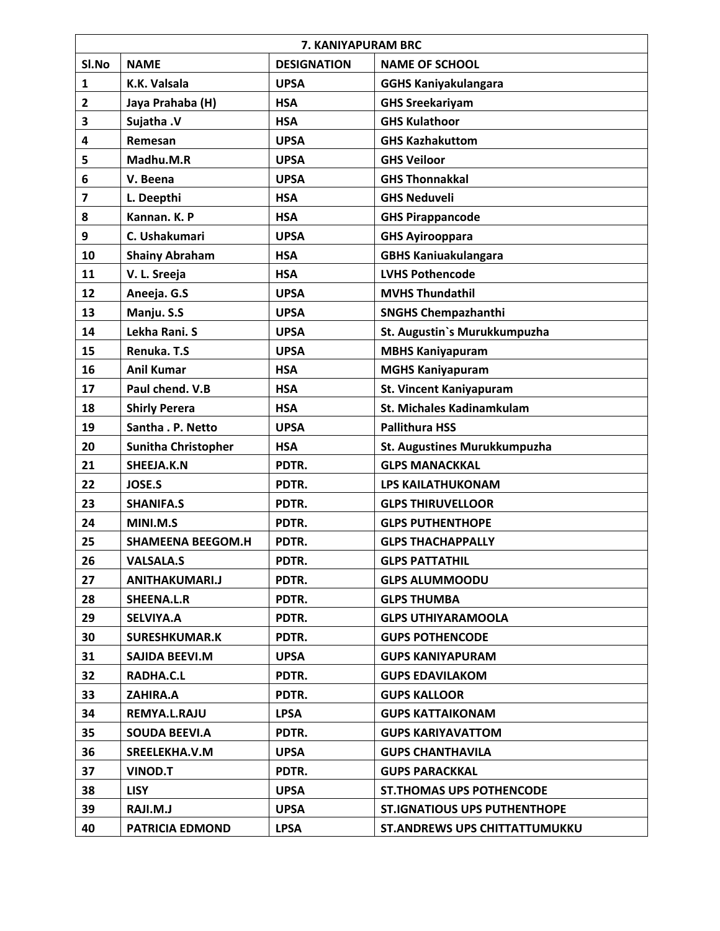|                | 7. KANIYAPURAM BRC         |                    |                                      |  |
|----------------|----------------------------|--------------------|--------------------------------------|--|
| SI.No          | <b>NAME</b>                | <b>DESIGNATION</b> | <b>NAME OF SCHOOL</b>                |  |
| 1              | K.K. Valsala               | <b>UPSA</b>        | <b>GGHS Kaniyakulangara</b>          |  |
| $\overline{2}$ | Jaya Prahaba (H)           | <b>HSA</b>         | <b>GHS Sreekariyam</b>               |  |
| 3              | Sujatha .V                 | <b>HSA</b>         | <b>GHS Kulathoor</b>                 |  |
| 4              | Remesan                    | <b>UPSA</b>        | <b>GHS Kazhakuttom</b>               |  |
| 5              | Madhu.M.R                  | <b>UPSA</b>        | <b>GHS Veiloor</b>                   |  |
| 6              | V. Beena                   | <b>UPSA</b>        | <b>GHS Thonnakkal</b>                |  |
| 7              | L. Deepthi                 | <b>HSA</b>         | <b>GHS Neduveli</b>                  |  |
| 8              | Kannan. K. P               | <b>HSA</b>         | <b>GHS Pirappancode</b>              |  |
| 9              | C. Ushakumari              | <b>UPSA</b>        | <b>GHS Ayirooppara</b>               |  |
| 10             | <b>Shainy Abraham</b>      | <b>HSA</b>         | <b>GBHS Kaniuakulangara</b>          |  |
| 11             | V. L. Sreeja               | <b>HSA</b>         | <b>LVHS Pothencode</b>               |  |
| 12             | Aneeja. G.S                | <b>UPSA</b>        | <b>MVHS Thundathil</b>               |  |
| 13             | Manju. S.S                 | <b>UPSA</b>        | <b>SNGHS Chempazhanthi</b>           |  |
| 14             | Lekha Rani. S              | <b>UPSA</b>        | St. Augustin's Murukkumpuzha         |  |
| 15             | Renuka. T.S                | <b>UPSA</b>        | <b>MBHS Kaniyapuram</b>              |  |
| 16             | <b>Anil Kumar</b>          | <b>HSA</b>         | <b>MGHS Kaniyapuram</b>              |  |
| 17             | Paul chend. V.B            | <b>HSA</b>         | <b>St. Vincent Kaniyapuram</b>       |  |
| 18             | <b>Shirly Perera</b>       | <b>HSA</b>         | St. Michales Kadinamkulam            |  |
| 19             | Santha . P. Netto          | <b>UPSA</b>        | <b>Pallithura HSS</b>                |  |
| 20             | <b>Sunitha Christopher</b> | <b>HSA</b>         | St. Augustines Murukkumpuzha         |  |
| 21             | SHEEJA.K.N                 | PDTR.              | <b>GLPS MANACKKAL</b>                |  |
| 22             | <b>JOSE.S</b>              | PDTR.              | <b>LPS KAILATHUKONAM</b>             |  |
| 23             | <b>SHANIFA.S</b>           | PDTR.              | <b>GLPS THIRUVELLOOR</b>             |  |
| 24             | MINI.M.S                   | PDTR.              | <b>GLPS PUTHENTHOPE</b>              |  |
| 25             | <b>SHAMEENA BEEGOM.H</b>   | PDTR.              | <b>GLPS THACHAPPALLY</b>             |  |
| 26             | <b>VALSALA.S</b>           | PDTR.              | <b>GLPS PATTATHIL</b>                |  |
| 27             | <b>ANITHAKUMARI.J</b>      | PDTR.              | <b>GLPS ALUMMOODU</b>                |  |
| 28             | SHEENA.L.R                 | PDTR.              | <b>GLPS THUMBA</b>                   |  |
| 29             | <b>SELVIYA.A</b>           | PDTR.              | <b>GLPS UTHIYARAMOOLA</b>            |  |
| 30             | <b>SURESHKUMAR.K</b>       | PDTR.              | <b>GUPS POTHENCODE</b>               |  |
| 31             | SAJIDA BEEVI.M             | <b>UPSA</b>        | <b>GUPS KANIYAPURAM</b>              |  |
| 32             | RADHA.C.L                  | PDTR.              | <b>GUPS EDAVILAKOM</b>               |  |
| 33             | ZAHIRA.A                   | PDTR.              | <b>GUPS KALLOOR</b>                  |  |
| 34             | REMYA.L.RAJU               | <b>LPSA</b>        | <b>GUPS KATTAIKONAM</b>              |  |
| 35             | <b>SOUDA BEEVI.A</b>       | PDTR.              | <b>GUPS KARIYAVATTOM</b>             |  |
| 36             | SREELEKHA.V.M              | <b>UPSA</b>        | <b>GUPS CHANTHAVILA</b>              |  |
| 37             | <b>VINOD.T</b>             | PDTR.              | <b>GUPS PARACKKAL</b>                |  |
| 38             | <b>LISY</b>                | <b>UPSA</b>        | <b>ST. THOMAS UPS POTHENCODE</b>     |  |
| 39             | RAJI.M.J                   | <b>UPSA</b>        | <b>ST.IGNATIOUS UPS PUTHENTHOPE</b>  |  |
| 40             | <b>PATRICIA EDMOND</b>     | <b>LPSA</b>        | <b>ST.ANDREWS UPS CHITTATTUMUKKU</b> |  |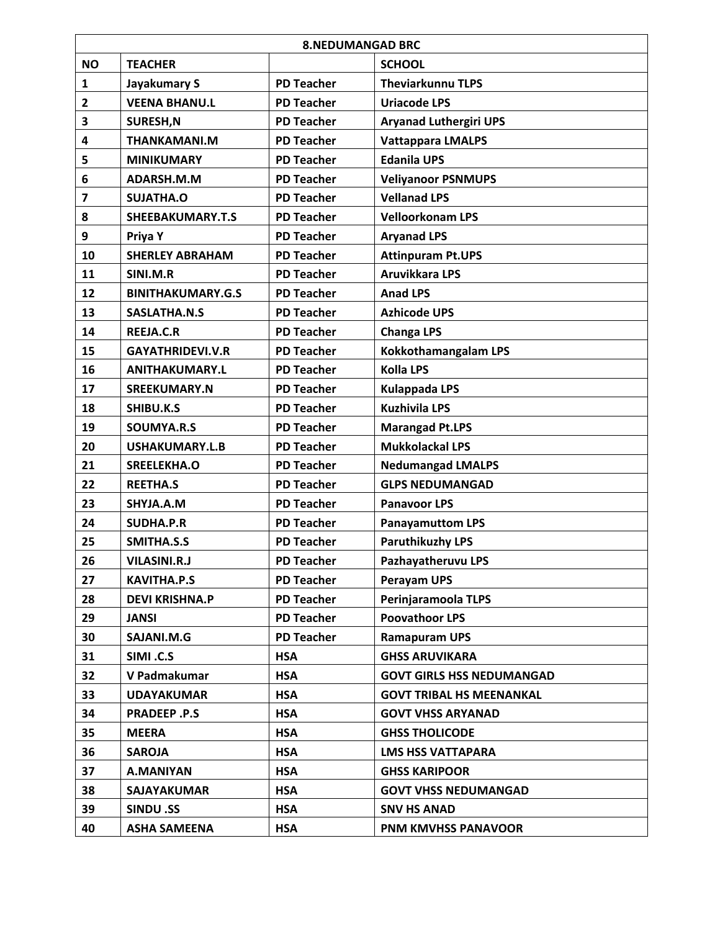|                         | <b>8.NEDUMANGAD BRC</b>  |                   |                                  |  |
|-------------------------|--------------------------|-------------------|----------------------------------|--|
| <b>NO</b>               | <b>TEACHER</b>           |                   | <b>SCHOOL</b>                    |  |
| 1                       | Jayakumary S             | <b>PD Teacher</b> | <b>Theviarkunnu TLPS</b>         |  |
| $\overline{2}$          | <b>VEENA BHANU.L</b>     | <b>PD Teacher</b> | <b>Uriacode LPS</b>              |  |
| 3                       | SURESH, N                | <b>PD Teacher</b> | <b>Aryanad Luthergiri UPS</b>    |  |
| 4                       | <b>THANKAMANI.M</b>      | <b>PD Teacher</b> | <b>Vattappara LMALPS</b>         |  |
| 5                       | <b>MINIKUMARY</b>        | <b>PD Teacher</b> | <b>Edanila UPS</b>               |  |
| 6                       | ADARSH.M.M               | <b>PD Teacher</b> | <b>Veliyanoor PSNMUPS</b>        |  |
| $\overline{\mathbf{z}}$ | SUJATHA.O                | <b>PD Teacher</b> | <b>Vellanad LPS</b>              |  |
| 8                       | SHEEBAKUMARY.T.S         | <b>PD Teacher</b> | <b>Velloorkonam LPS</b>          |  |
| 9                       | Priya Y                  | <b>PD Teacher</b> | <b>Aryanad LPS</b>               |  |
| 10                      | <b>SHERLEY ABRAHAM</b>   | <b>PD Teacher</b> | <b>Attinpuram Pt.UPS</b>         |  |
| 11                      | SINI.M.R                 | <b>PD Teacher</b> | <b>Aruvikkara LPS</b>            |  |
| 12                      | <b>BINITHAKUMARY.G.S</b> | <b>PD Teacher</b> | <b>Anad LPS</b>                  |  |
| 13                      | <b>SASLATHA.N.S</b>      | <b>PD Teacher</b> | <b>Azhicode UPS</b>              |  |
| 14                      | <b>REEJA.C.R</b>         | <b>PD Teacher</b> | <b>Changa LPS</b>                |  |
| 15                      | <b>GAYATHRIDEVI.V.R</b>  | <b>PD Teacher</b> | <b>Kokkothamangalam LPS</b>      |  |
| 16                      | <b>ANITHAKUMARY.L</b>    | <b>PD Teacher</b> | <b>Kolla LPS</b>                 |  |
| 17                      | <b>SREEKUMARY.N</b>      | <b>PD Teacher</b> | <b>Kulappada LPS</b>             |  |
| 18                      | SHIBU.K.S                | <b>PD Teacher</b> | <b>Kuzhivila LPS</b>             |  |
| 19                      | SOUMYA.R.S               | <b>PD Teacher</b> | <b>Marangad Pt.LPS</b>           |  |
| 20                      | <b>USHAKUMARY.L.B</b>    | <b>PD Teacher</b> | <b>Mukkolackal LPS</b>           |  |
| 21                      | SREELEKHA.O              | <b>PD Teacher</b> | <b>Nedumangad LMALPS</b>         |  |
| 22                      | <b>REETHA.S</b>          | <b>PD Teacher</b> | <b>GLPS NEDUMANGAD</b>           |  |
| 23                      | SHYJA.A.M                | <b>PD Teacher</b> | <b>Panavoor LPS</b>              |  |
| 24                      | <b>SUDHA.P.R</b>         | <b>PD Teacher</b> | <b>Panayamuttom LPS</b>          |  |
| 25                      | SMITHA.S.S               | <b>PD Teacher</b> | <b>Paruthikuzhy LPS</b>          |  |
| 26                      | <b>VILASINI.R.J</b>      | <b>PD Teacher</b> | Pazhayatheruvu LPS               |  |
| 27                      | <b>KAVITHA.P.S</b>       | <b>PD Teacher</b> | Perayam UPS                      |  |
| 28                      | <b>DEVI KRISHNA.P</b>    | <b>PD Teacher</b> | Perinjaramoola TLPS              |  |
| 29                      | JANSI                    | <b>PD Teacher</b> | <b>Poovathoor LPS</b>            |  |
| 30                      | SAJANI.M.G               | <b>PD Teacher</b> | <b>Ramapuram UPS</b>             |  |
| 31                      | SIMI.C.S                 | <b>HSA</b>        | <b>GHSS ARUVIKARA</b>            |  |
| 32                      | V Padmakumar             | <b>HSA</b>        | <b>GOVT GIRLS HSS NEDUMANGAD</b> |  |
| 33                      | <b>UDAYAKUMAR</b>        | <b>HSA</b>        | <b>GOVT TRIBAL HS MEENANKAL</b>  |  |
| 34                      | <b>PRADEEP.P.S</b>       | <b>HSA</b>        | <b>GOVT VHSS ARYANAD</b>         |  |
| 35                      | <b>MEERA</b>             | <b>HSA</b>        | <b>GHSS THOLICODE</b>            |  |
| 36                      | <b>SAROJA</b>            | <b>HSA</b>        | <b>LMS HSS VATTAPARA</b>         |  |
| 37                      | <b>A.MANIYAN</b>         | <b>HSA</b>        | <b>GHSS KARIPOOR</b>             |  |
| 38                      | <b>SAJAYAKUMAR</b>       | <b>HSA</b>        | <b>GOVT VHSS NEDUMANGAD</b>      |  |
| 39                      | <b>SINDU .SS</b>         | <b>HSA</b>        | <b>SNV HS ANAD</b>               |  |
| 40                      | <b>ASHA SAMEENA</b>      | <b>HSA</b>        | PNM KMVHSS PANAVOOR              |  |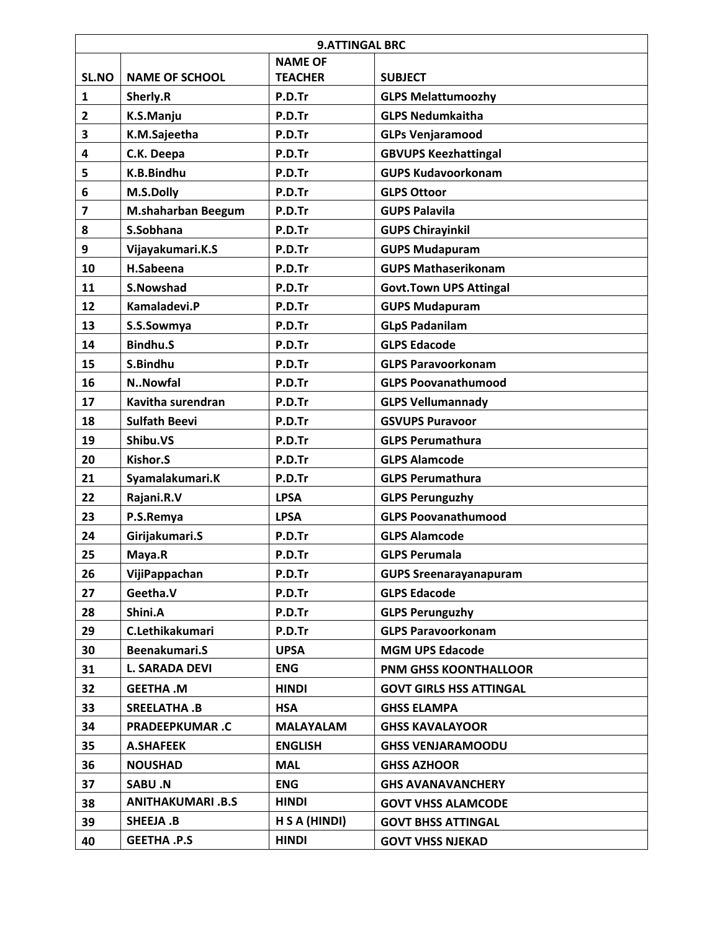|                         | <b>9.ATTINGAL BRC</b>     |                  |                                |  |
|-------------------------|---------------------------|------------------|--------------------------------|--|
|                         |                           | <b>NAME OF</b>   |                                |  |
| SL.NO                   | <b>NAME OF SCHOOL</b>     | <b>TEACHER</b>   | <b>SUBJECT</b>                 |  |
| $\mathbf{1}$            | Sherly.R                  | P.D.Tr           | <b>GLPS Melattumoozhy</b>      |  |
| $\mathbf{2}$            | K.S.Manju                 | P.D.Tr           | <b>GLPS Nedumkaitha</b>        |  |
| 3                       | K.M.Sajeetha              | P.D.Tr           | <b>GLPs Venjaramood</b>        |  |
| 4                       | C.K. Deepa                | P.D.Tr           | <b>GBVUPS Keezhattingal</b>    |  |
| 5                       | K.B.Bindhu                | P.D.Tr           | <b>GUPS Kudavoorkonam</b>      |  |
| 6                       | M.S.Dolly                 | P.D.Tr           | <b>GLPS Ottoor</b>             |  |
| $\overline{\mathbf{z}}$ | <b>M.shaharban Beegum</b> | P.D.Tr           | <b>GUPS Palavila</b>           |  |
| 8                       | S.Sobhana                 | P.D.Tr           | <b>GUPS Chirayinkil</b>        |  |
| 9                       | Vijayakumari.K.S          | P.D.Tr           | <b>GUPS Mudapuram</b>          |  |
| 10                      | H.Sabeena                 | P.D.Tr           | <b>GUPS Mathaserikonam</b>     |  |
| 11                      | <b>S.Nowshad</b>          | P.D.Tr           | <b>Govt.Town UPS Attingal</b>  |  |
| 12                      | Kamaladevi.P              | P.D.Tr           | <b>GUPS Mudapuram</b>          |  |
| 13                      | S.S.Sowmya                | P.D.Tr           | <b>GLpS Padanilam</b>          |  |
| 14                      | <b>Bindhu.S</b>           | P.D.Tr           | <b>GLPS Edacode</b>            |  |
| 15                      | S.Bindhu                  | P.D.Tr           | <b>GLPS Paravoorkonam</b>      |  |
| 16                      | <b>N.</b> .Nowfal         | P.D.Tr           | <b>GLPS Poovanathumood</b>     |  |
| 17                      | Kavitha surendran         | P.D.Tr           | <b>GLPS Vellumannady</b>       |  |
| 18                      | <b>Sulfath Beevi</b>      | P.D.Tr           | <b>GSVUPS Puravoor</b>         |  |
| 19                      | Shibu.VS                  | P.D.Tr           | <b>GLPS Perumathura</b>        |  |
| 20                      | Kishor.S                  | P.D.Tr           | <b>GLPS Alamcode</b>           |  |
| 21                      | Syamalakumari.K           | P.D.Tr           | <b>GLPS Perumathura</b>        |  |
| 22                      | Rajani.R.V                | <b>LPSA</b>      | <b>GLPS Perunguzhy</b>         |  |
| 23                      | P.S.Remya                 | <b>LPSA</b>      | <b>GLPS Poovanathumood</b>     |  |
| 24                      | Girijakumari.S            | P.D.Tr           | <b>GLPS Alamcode</b>           |  |
| 25                      | Maya.R                    | P.D.Tr           | <b>GLPS Perumala</b>           |  |
| 26                      | VijiPappachan             | P.D.Tr           | <b>GUPS Sreenarayanapuram</b>  |  |
| 27                      | Geetha.V                  | P.D.Tr           | <b>GLPS Edacode</b>            |  |
| 28                      | Shini.A                   | P.D.Tr           | <b>GLPS Perunguzhy</b>         |  |
| 29                      | C.Lethikakumari           | P.D.Tr           | <b>GLPS Paravoorkonam</b>      |  |
| 30                      | Beenakumari.S             | <b>UPSA</b>      | <b>MGM UPS Edacode</b>         |  |
| 31                      | <b>L. SARADA DEVI</b>     | <b>ENG</b>       | <b>PNM GHSS KOONTHALLOOR</b>   |  |
| 32                      | <b>GEETHA.M</b>           | <b>HINDI</b>     | <b>GOVT GIRLS HSS ATTINGAL</b> |  |
| 33                      | SREELATHA .B              | <b>HSA</b>       | <b>GHSS ELAMPA</b>             |  |
| 34                      | <b>PRADEEPKUMAR.C</b>     | <b>MALAYALAM</b> | <b>GHSS KAVALAYOOR</b>         |  |
| 35                      | <b>A.SHAFEEK</b>          | <b>ENGLISH</b>   | <b>GHSS VENJARAMOODU</b>       |  |
| 36                      | <b>NOUSHAD</b>            | <b>MAL</b>       | <b>GHSS AZHOOR</b>             |  |
| 37                      | SABU .N                   | <b>ENG</b>       | <b>GHS AVANAVANCHERY</b>       |  |
| 38                      | <b>ANITHAKUMARI .B.S</b>  | <b>HINDI</b>     | <b>GOVT VHSS ALAMCODE</b>      |  |
| 39                      | SHEEJA.B                  | H S A (HINDI)    | <b>GOVT BHSS ATTINGAL</b>      |  |
| 40                      | <b>GEETHA .P.S</b>        | <b>HINDI</b>     | <b>GOVT VHSS NJEKAD</b>        |  |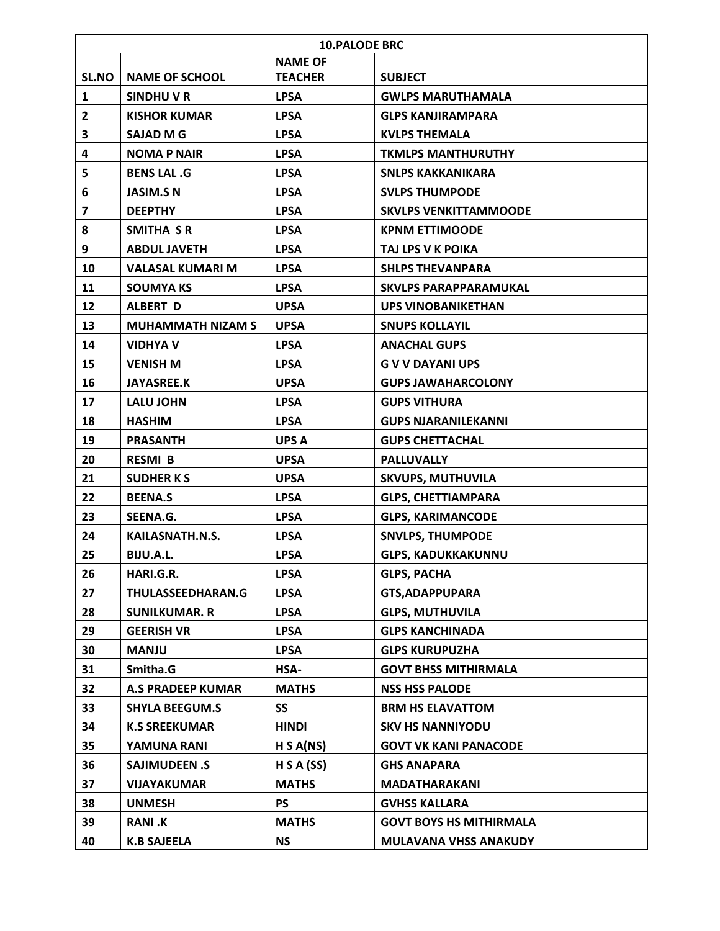|              | <b>10.PALODE BRC</b>     |                |                                |  |
|--------------|--------------------------|----------------|--------------------------------|--|
|              |                          | <b>NAME OF</b> |                                |  |
| SL.NO        | <b>NAME OF SCHOOL</b>    | <b>TEACHER</b> | <b>SUBJECT</b>                 |  |
| 1            | SINDHU V R               | <b>LPSA</b>    | <b>GWLPS MARUTHAMALA</b>       |  |
| $\mathbf{2}$ | <b>KISHOR KUMAR</b>      | <b>LPSA</b>    | <b>GLPS KANJIRAMPARA</b>       |  |
| 3            | <b>SAJAD M G</b>         | <b>LPSA</b>    | <b>KVLPS THEMALA</b>           |  |
| 4            | <b>NOMA P NAIR</b>       | <b>LPSA</b>    | <b>TKMLPS MANTHURUTHY</b>      |  |
| 5            | <b>BENS LAL .G</b>       | <b>LPSA</b>    | <b>SNLPS KAKKANIKARA</b>       |  |
| 6            | <b>JASIM.SN</b>          | <b>LPSA</b>    | <b>SVLPS THUMPODE</b>          |  |
| 7            | <b>DEEPTHY</b>           | <b>LPSA</b>    | <b>SKVLPS VENKITTAMMOODE</b>   |  |
| 8            | SMITHA SR                | <b>LPSA</b>    | <b>KPNM ETTIMOODE</b>          |  |
| 9            | <b>ABDUL JAVETH</b>      | <b>LPSA</b>    | TAJ LPS V K POIKA              |  |
| 10           | <b>VALASAL KUMARI M</b>  | <b>LPSA</b>    | <b>SHLPS THEVANPARA</b>        |  |
| 11           | <b>SOUMYA KS</b>         | <b>LPSA</b>    | <b>SKVLPS PARAPPARAMUKAL</b>   |  |
| 12           | <b>ALBERT D</b>          | <b>UPSA</b>    | <b>UPS VINOBANIKETHAN</b>      |  |
| 13           | <b>MUHAMMATH NIZAM S</b> | <b>UPSA</b>    | <b>SNUPS KOLLAYIL</b>          |  |
| 14           | <b>VIDHYA V</b>          | <b>LPSA</b>    | <b>ANACHAL GUPS</b>            |  |
| 15           | <b>VENISH M</b>          | <b>LPSA</b>    | <b>G V V DAYANI UPS</b>        |  |
| 16           | <b>JAYASREE.K</b>        | <b>UPSA</b>    | <b>GUPS JAWAHARCOLONY</b>      |  |
| 17           | <b>LALU JOHN</b>         | <b>LPSA</b>    | <b>GUPS VITHURA</b>            |  |
| 18           | <b>HASHIM</b>            | <b>LPSA</b>    | <b>GUPS NJARANILEKANNI</b>     |  |
| 19           | <b>PRASANTH</b>          | <b>UPS A</b>   | <b>GUPS CHETTACHAL</b>         |  |
| 20           | <b>RESMI B</b>           | <b>UPSA</b>    | <b>PALLUVALLY</b>              |  |
| 21           | <b>SUDHERKS</b>          | <b>UPSA</b>    | <b>SKVUPS, MUTHUVILA</b>       |  |
| 22           | <b>BEENA.S</b>           | <b>LPSA</b>    | <b>GLPS, CHETTIAMPARA</b>      |  |
| 23           | SEENA.G.                 | <b>LPSA</b>    | <b>GLPS, KARIMANCODE</b>       |  |
| 24           | KAILASNATH.N.S.          | <b>LPSA</b>    | <b>SNVLPS, THUMPODE</b>        |  |
| 25           | BIJU.A.L.                | <b>LPSA</b>    | <b>GLPS. KADUKKAKUNNU</b>      |  |
| 26           | HARI.G.R.                | <b>LPSA</b>    | <b>GLPS, PACHA</b>             |  |
| 27           | THULASSEEDHARAN.G        | <b>LPSA</b>    | <b>GTS, ADAPPUPARA</b>         |  |
| 28           | <b>SUNILKUMAR. R</b>     | <b>LPSA</b>    | <b>GLPS, MUTHUVILA</b>         |  |
| 29           | <b>GEERISH VR</b>        | <b>LPSA</b>    | <b>GLPS KANCHINADA</b>         |  |
| 30           | <b>MANJU</b>             | <b>LPSA</b>    | <b>GLPS KURUPUZHA</b>          |  |
| 31           | Smitha.G                 | <b>HSA-</b>    | <b>GOVT BHSS MITHIRMALA</b>    |  |
| 32           | <b>A.S PRADEEP KUMAR</b> | <b>MATHS</b>   | <b>NSS HSS PALODE</b>          |  |
| 33           | <b>SHYLA BEEGUM.S</b>    | <b>SS</b>      | <b>BRM HS ELAVATTOM</b>        |  |
| 34           | <b>K.S SREEKUMAR</b>     | <b>HINDI</b>   | <b>SKV HS NANNIYODU</b>        |  |
| 35           | YAMUNA RANI              | H S A(NS)      | <b>GOVT VK KANI PANACODE</b>   |  |
| 36           | <b>SAJIMUDEEN .S</b>     | H S A (SS)     | <b>GHS ANAPARA</b>             |  |
| 37           | <b>VIJAYAKUMAR</b>       | <b>MATHS</b>   | <b>MADATHARAKANI</b>           |  |
| 38           | <b>UNMESH</b>            | <b>PS</b>      | <b>GVHSS KALLARA</b>           |  |
| 39           | <b>RANI.K</b>            | <b>MATHS</b>   | <b>GOVT BOYS HS MITHIRMALA</b> |  |
| 40           | <b>K.B SAJEELA</b>       | <b>NS</b>      | <b>MULAVANA VHSS ANAKUDY</b>   |  |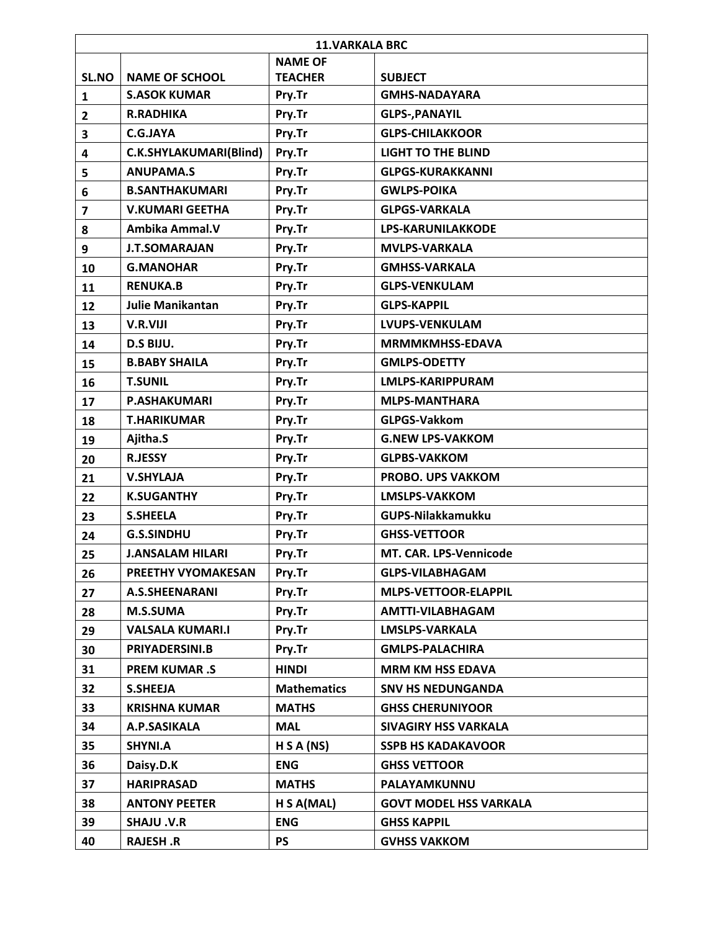|                         | <b>11.VARKALA BRC</b>   |                    |                               |  |
|-------------------------|-------------------------|--------------------|-------------------------------|--|
|                         |                         | <b>NAME OF</b>     |                               |  |
| SL.NO                   | <b>NAME OF SCHOOL</b>   | <b>TEACHER</b>     | <b>SUBJECT</b>                |  |
| $\mathbf{1}$            | <b>S.ASOK KUMAR</b>     | Pry.Tr             | <b>GMHS-NADAYARA</b>          |  |
| $\overline{2}$          | <b>R.RADHIKA</b>        | Pry.Tr             | <b>GLPS-, PANAYIL</b>         |  |
| 3                       | C.G.JAYA                | Pry.Tr             | <b>GLPS-CHILAKKOOR</b>        |  |
| 4                       | C.K.SHYLAKUMARI(Blind)  | Pry.Tr             | <b>LIGHT TO THE BLIND</b>     |  |
| 5                       | <b>ANUPAMA.S</b>        | Pry.Tr             | <b>GLPGS-KURAKKANNI</b>       |  |
| 6                       | <b>B.SANTHAKUMARI</b>   | Pry.Tr             | <b>GWLPS-POIKA</b>            |  |
| $\overline{\mathbf{z}}$ | <b>V.KUMARI GEETHA</b>  | Pry.Tr             | <b>GLPGS-VARKALA</b>          |  |
| 8                       | Ambika Ammal.V          | Pry.Tr             | <b>LPS-KARUNILAKKODE</b>      |  |
| 9                       | <b>J.T.SOMARAJAN</b>    | Pry.Tr             | <b>MVLPS-VARKALA</b>          |  |
| 10                      | <b>G.MANOHAR</b>        | Pry.Tr             | <b>GMHSS-VARKALA</b>          |  |
| 11                      | <b>RENUKA.B</b>         | Pry.Tr             | <b>GLPS-VENKULAM</b>          |  |
| 12                      | <b>Julie Manikantan</b> | Pry.Tr             | <b>GLPS-KAPPIL</b>            |  |
| 13                      | <b>V.R.VIJI</b>         | Pry.Tr             | <b>LVUPS-VENKULAM</b>         |  |
| 14                      | D.S BIJU.               | Pry.Tr             | <b>MRMMKMHSS-EDAVA</b>        |  |
| 15                      | <b>B.BABY SHAILA</b>    | Pry.Tr             | <b>GMLPS-ODETTY</b>           |  |
| 16                      | <b>T.SUNIL</b>          | Pry.Tr             | <b>LMLPS-KARIPPURAM</b>       |  |
| 17                      | <b>P.ASHAKUMARI</b>     | Pry.Tr             | <b>MLPS-MANTHARA</b>          |  |
| 18                      | <b>T.HARIKUMAR</b>      | Pry.Tr             | <b>GLPGS-Vakkom</b>           |  |
| 19                      | Ajitha.S                | Pry.Tr             | <b>G.NEW LPS-VAKKOM</b>       |  |
| 20                      | <b>R.JESSY</b>          | Pry.Tr             | <b>GLPBS-VAKKOM</b>           |  |
| 21                      | <b>V.SHYLAJA</b>        | Pry.Tr             | <b>PROBO. UPS VAKKOM</b>      |  |
| 22                      | <b>K.SUGANTHY</b>       | Pry.Tr             | <b>LMSLPS-VAKKOM</b>          |  |
| 23                      | <b>S.SHEELA</b>         | Pry.Tr             | <b>GUPS-Nilakkamukku</b>      |  |
| 24                      | <b>G.S.SINDHU</b>       | Pry.Tr             | <b>GHSS-VETTOOR</b>           |  |
| 25                      | <b>J.ANSALAM HILARI</b> | Pry.Tr             | <b>MT. CAR. LPS-Vennicode</b> |  |
| 26                      | PREETHY VYOMAKESAN      | Pry.Tr             | <b>GLPS-VILABHAGAM</b>        |  |
| 27                      | <b>A.S.SHEENARANI</b>   | Pry.Tr             | <b>MLPS-VETTOOR-ELAPPIL</b>   |  |
| 28                      | <b>M.S.SUMA</b>         | Pry.Tr             | AMTTI-VILABHAGAM              |  |
| 29                      | <b>VALSALA KUMARI.I</b> | Pry.Tr             | <b>LMSLPS-VARKALA</b>         |  |
| 30                      | PRIYADERSINI.B          | Pry.Tr             | <b>GMLPS-PALACHIRA</b>        |  |
| 31                      | <b>PREM KUMAR.S</b>     | <b>HINDI</b>       | <b>MRM KM HSS EDAVA</b>       |  |
| 32                      | <b>S.SHEEJA</b>         | <b>Mathematics</b> | <b>SNV HS NEDUNGANDA</b>      |  |
| 33                      | <b>KRISHNA KUMAR</b>    | <b>MATHS</b>       | <b>GHSS CHERUNIYOOR</b>       |  |
| 34                      | A.P.SASIKALA            | <b>MAL</b>         | <b>SIVAGIRY HSS VARKALA</b>   |  |
| 35                      | SHYNI.A                 | H S A (NS)         | <b>SSPB HS KADAKAVOOR</b>     |  |
| 36                      | Daisy.D.K               | <b>ENG</b>         | <b>GHSS VETTOOR</b>           |  |
| 37                      | <b>HARIPRASAD</b>       | <b>MATHS</b>       | PALAYAMKUNNU                  |  |
| 38                      | <b>ANTONY PEETER</b>    | H S A(MAL)         | <b>GOVT MODEL HSS VARKALA</b> |  |
| 39                      | <b>SHAJU.V.R</b>        | <b>ENG</b>         | <b>GHSS KAPPIL</b>            |  |
| 40                      | RAJESH.R                | <b>PS</b>          | <b>GVHSS VAKKOM</b>           |  |